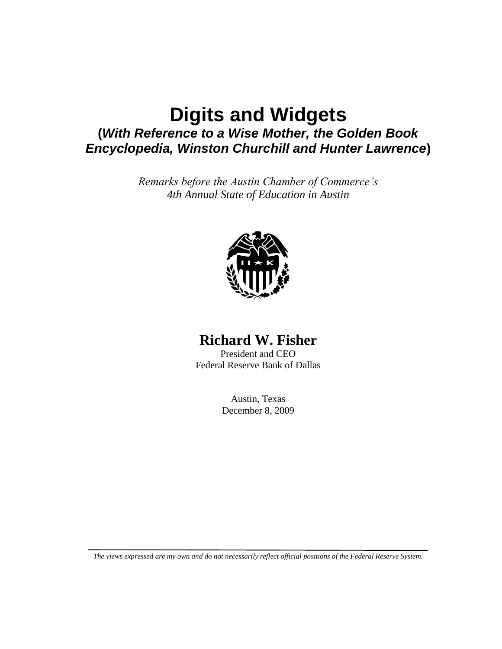## **Digits and Widgets (***With Reference to a Wise Mother, the Golden Book Encyclopedia, Winston Churchill and Hunter Lawrence***)**

*Remarks before the Austin Chamber of Commerce's 4th Annual State of Education in Austin*



## **Richard W. Fisher**

President and CEO Federal Reserve Bank of Dallas

> Austin, Texas December 8, 2009

*The views expressed are my own and do not necessarily reflect official positions of the Federal Reserve System.*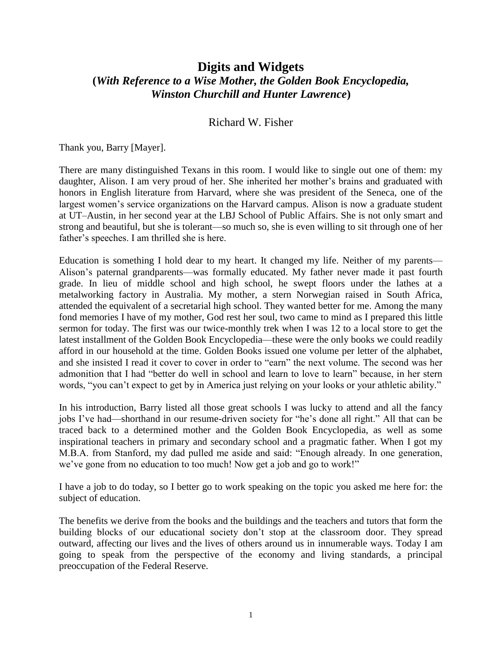## **Digits and Widgets (***With Reference to a Wise Mother, the Golden Book Encyclopedia, Winston Churchill and Hunter Lawrence***)**

## Richard W. Fisher

Thank you, Barry [Mayer].

There are many distinguished Texans in this room. I would like to single out one of them: my daughter, Alison. I am very proud of her. She inherited her mother's brains and graduated with honors in English literature from Harvard, where she was president of the Seneca, one of the largest women's service organizations on the Harvard campus. Alison is now a graduate student at UT–Austin, in her second year at the LBJ School of Public Affairs. She is not only smart and strong and beautiful, but she is tolerant—so much so, she is even willing to sit through one of her father's speeches. I am thrilled she is here.

Education is something I hold dear to my heart. It changed my life. Neither of my parents— Alison's paternal grandparents—was formally educated. My father never made it past fourth grade. In lieu of middle school and high school, he swept floors under the lathes at a metalworking factory in Australia. My mother, a stern Norwegian raised in South Africa, attended the equivalent of a secretarial high school. They wanted better for me. Among the many fond memories I have of my mother, God rest her soul, two came to mind as I prepared this little sermon for today. The first was our twice-monthly trek when I was 12 to a local store to get the latest installment of the Golden Book Encyclopedia—these were the only books we could readily afford in our household at the time. Golden Books issued one volume per letter of the alphabet, and she insisted I read it cover to cover in order to "earn" the next volume. The second was her admonition that I had "better do well in school and learn to love to learn" because, in her stern words, "you can't expect to get by in America just relying on your looks or your athletic ability."

In his introduction, Barry listed all those great schools I was lucky to attend and all the fancy jobs I've had—shorthand in our resume-driven society for "he's done all right." All that can be traced back to a determined mother and the Golden Book Encyclopedia, as well as some inspirational teachers in primary and secondary school and a pragmatic father. When I got my M.B.A. from Stanford, my dad pulled me aside and said: "Enough already. In one generation, we've gone from no education to too much! Now get a job and go to work!"

I have a job to do today, so I better go to work speaking on the topic you asked me here for: the subject of education.

The benefits we derive from the books and the buildings and the teachers and tutors that form the building blocks of our educational society don't stop at the classroom door. They spread outward, affecting our lives and the lives of others around us in innumerable ways. Today I am going to speak from the perspective of the economy and living standards, a principal preoccupation of the Federal Reserve.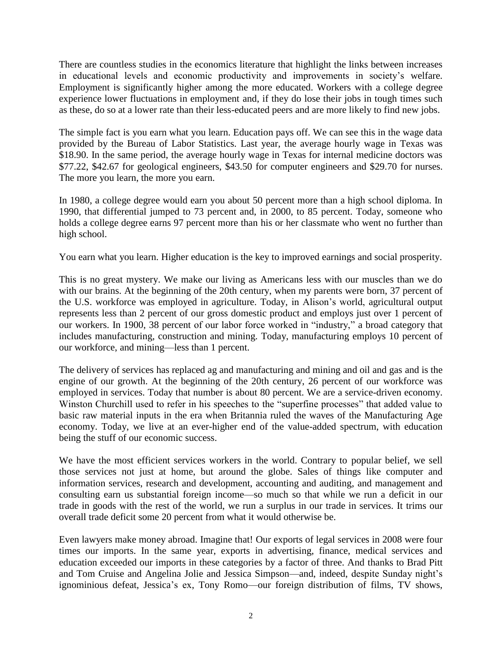There are countless studies in the economics literature that highlight the links between increases in educational levels and economic productivity and improvements in society's welfare. Employment is significantly higher among the more educated. Workers with a college degree experience lower fluctuations in employment and, if they do lose their jobs in tough times such as these, do so at a lower rate than their less-educated peers and are more likely to find new jobs.

The simple fact is you earn what you learn. Education pays off. We can see this in the wage data provided by the Bureau of Labor Statistics. Last year, the average hourly wage in Texas was \$18.90. In the same period, the average hourly wage in Texas for internal medicine doctors was \$77.22, \$42.67 for geological engineers, \$43.50 for computer engineers and \$29.70 for nurses. The more you learn, the more you earn.

In 1980, a college degree would earn you about 50 percent more than a high school diploma. In 1990, that differential jumped to 73 percent and, in 2000, to 85 percent. Today, someone who holds a college degree earns 97 percent more than his or her classmate who went no further than high school.

You earn what you learn. Higher education is the key to improved earnings and social prosperity.

This is no great mystery. We make our living as Americans less with our muscles than we do with our brains. At the beginning of the 20th century, when my parents were born, 37 percent of the U.S. workforce was employed in agriculture. Today, in Alison's world, agricultural output represents less than 2 percent of our gross domestic product and employs just over 1 percent of our workers. In 1900, 38 percent of our labor force worked in "industry," a broad category that includes manufacturing, construction and mining. Today, manufacturing employs 10 percent of our workforce, and mining—less than 1 percent.

The delivery of services has replaced ag and manufacturing and mining and oil and gas and is the engine of our growth. At the beginning of the 20th century, 26 percent of our workforce was employed in services. Today that number is about 80 percent. We are a service-driven economy. Winston Churchill used to refer in his speeches to the "superfine processes" that added value to basic raw material inputs in the era when Britannia ruled the waves of the Manufacturing Age economy. Today, we live at an ever-higher end of the value-added spectrum, with education being the stuff of our economic success.

We have the most efficient services workers in the world. Contrary to popular belief, we sell those services not just at home, but around the globe. Sales of things like computer and information services, research and development, accounting and auditing, and management and consulting earn us substantial foreign income—so much so that while we run a deficit in our trade in goods with the rest of the world, we run a surplus in our trade in services. It trims our overall trade deficit some 20 percent from what it would otherwise be.

Even lawyers make money abroad. Imagine that! Our exports of legal services in 2008 were four times our imports. In the same year, exports in advertising, finance, medical services and education exceeded our imports in these categories by a factor of three. And thanks to Brad Pitt and Tom Cruise and Angelina Jolie and Jessica Simpson—and, indeed, despite Sunday night's ignominious defeat, Jessica's ex, Tony Romo—our foreign distribution of films, TV shows,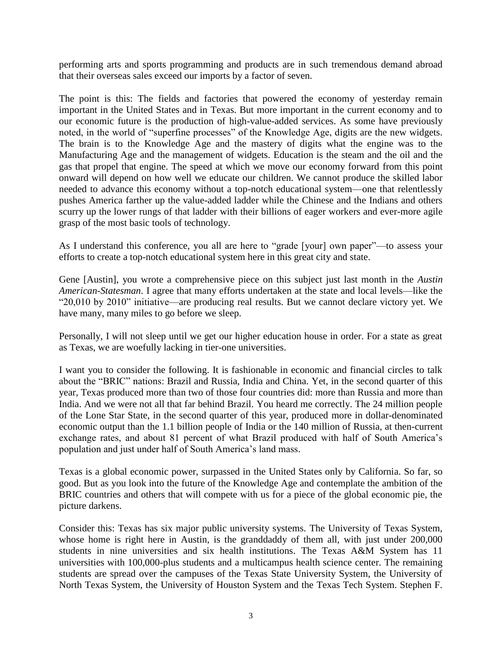performing arts and sports programming and products are in such tremendous demand abroad that their overseas sales exceed our imports by a factor of seven.

The point is this: The fields and factories that powered the economy of yesterday remain important in the United States and in Texas. But more important in the current economy and to our economic future is the production of high-value-added services. As some have previously noted, in the world of "superfine processes" of the Knowledge Age, digits are the new widgets. The brain is to the Knowledge Age and the mastery of digits what the engine was to the Manufacturing Age and the management of widgets. Education is the steam and the oil and the gas that propel that engine. The speed at which we move our economy forward from this point onward will depend on how well we educate our children. We cannot produce the skilled labor needed to advance this economy without a top-notch educational system—one that relentlessly pushes America farther up the value-added ladder while the Chinese and the Indians and others scurry up the lower rungs of that ladder with their billions of eager workers and ever-more agile grasp of the most basic tools of technology.

As I understand this conference, you all are here to "grade [your] own paper"—to assess your efforts to create a top-notch educational system here in this great city and state.

Gene [Austin], you wrote a comprehensive piece on this subject just last month in the *Austin American-Statesman*. I agree that many efforts undertaken at the state and local levels—like the "20,010 by 2010" initiative—are producing real results. But we cannot declare victory yet. We have many, many miles to go before we sleep.

Personally, I will not sleep until we get our higher education house in order. For a state as great as Texas, we are woefully lacking in tier-one universities.

I want you to consider the following. It is fashionable in economic and financial circles to talk about the "BRIC" nations: Brazil and Russia, India and China. Yet, in the second quarter of this year, Texas produced more than two of those four countries did: more than Russia and more than India. And we were not all that far behind Brazil. You heard me correctly. The 24 million people of the Lone Star State, in the second quarter of this year, produced more in dollar-denominated economic output than the 1.1 billion people of India or the 140 million of Russia, at then-current exchange rates, and about 81 percent of what Brazil produced with half of South America's population and just under half of South America's land mass.

Texas is a global economic power, surpassed in the United States only by California. So far, so good. But as you look into the future of the Knowledge Age and contemplate the ambition of the BRIC countries and others that will compete with us for a piece of the global economic pie, the picture darkens.

Consider this: Texas has six major public university systems. The University of Texas System, whose home is right here in Austin, is the granddaddy of them all, with just under 200,000 students in nine universities and six health institutions. The Texas A&M System has 11 universities with 100,000-plus students and a multicampus health science center. The remaining students are spread over the campuses of the Texas State University System, the University of North Texas System, the University of Houston System and the Texas Tech System. Stephen F.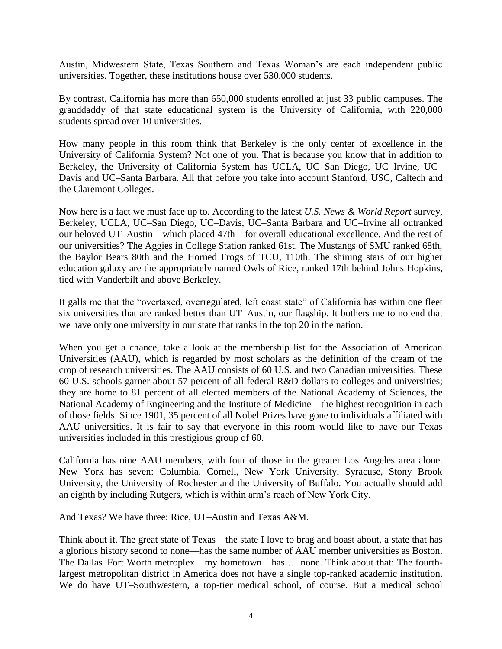Austin, Midwestern State, Texas Southern and Texas Woman's are each independent public universities. Together, these institutions house over 530,000 students.

By contrast, California has more than 650,000 students enrolled at just 33 public campuses. The granddaddy of that state educational system is the University of California, with 220,000 students spread over 10 universities.

How many people in this room think that Berkeley is the only center of excellence in the University of California System? Not one of you. That is because you know that in addition to Berkeley, the University of California System has UCLA, UC–San Diego, UC–Irvine, UC– Davis and UC–Santa Barbara. All that before you take into account Stanford, USC, Caltech and the Claremont Colleges.

Now here is a fact we must face up to. According to the latest *U.S. News & World Report* survey, Berkeley, UCLA, UC–San Diego, UC–Davis, UC–Santa Barbara and UC–Irvine all outranked our beloved UT–Austin—which placed 47th—for overall educational excellence. And the rest of our universities? The Aggies in College Station ranked 61st. The Mustangs of SMU ranked 68th, the Baylor Bears 80th and the Horned Frogs of TCU, 110th. The shining stars of our higher education galaxy are the appropriately named Owls of Rice, ranked 17th behind Johns Hopkins, tied with Vanderbilt and above Berkeley.

It galls me that the "overtaxed, overregulated, left coast state" of California has within one fleet six universities that are ranked better than UT–Austin, our flagship. It bothers me to no end that we have only one university in our state that ranks in the top 20 in the nation.

When you get a chance, take a look at the membership list for the Association of American Universities (AAU), which is regarded by most scholars as the definition of the cream of the crop of research universities. The AAU consists of 60 U.S. and two Canadian universities. These 60 U.S. schools garner about 57 percent of all federal R&D dollars to colleges and universities; they are home to 81 percent of all elected members of the National Academy of Sciences, the National Academy of Engineering and the Institute of Medicine—the highest recognition in each of those fields. Since 1901, 35 percent of all Nobel Prizes have gone to individuals affiliated with AAU universities. It is fair to say that everyone in this room would like to have our Texas universities included in this prestigious group of 60.

California has nine AAU members, with four of those in the greater Los Angeles area alone. New York has seven: Columbia, Cornell, New York University, Syracuse, Stony Brook University, the University of Rochester and the University of Buffalo. You actually should add an eighth by including Rutgers, which is within arm's reach of New York City.

And Texas? We have three: Rice, UT–Austin and Texas A&M.

Think about it. The great state of Texas—the state I love to brag and boast about, a state that has a glorious history second to none—has the same number of AAU member universities as Boston. The Dallas–Fort Worth metroplex—my hometown—has … none. Think about that: The fourthlargest metropolitan district in America does not have a single top-ranked academic institution. We do have UT–Southwestern, a top-tier medical school, of course. But a medical school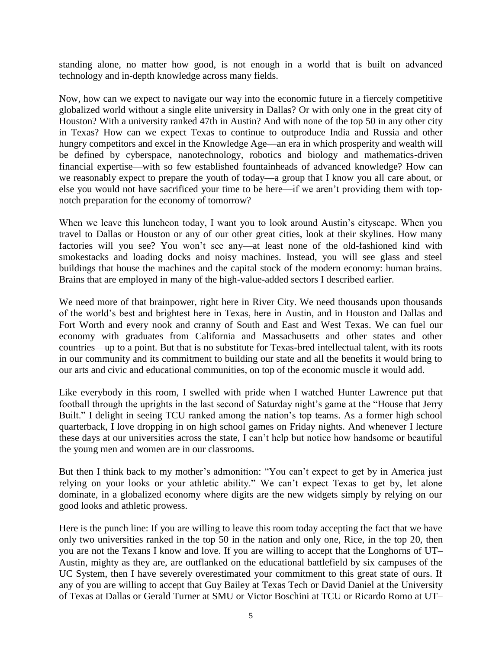standing alone, no matter how good, is not enough in a world that is built on advanced technology and in-depth knowledge across many fields.

Now, how can we expect to navigate our way into the economic future in a fiercely competitive globalized world without a single elite university in Dallas? Or with only one in the great city of Houston? With a university ranked 47th in Austin? And with none of the top 50 in any other city in Texas? How can we expect Texas to continue to outproduce India and Russia and other hungry competitors and excel in the Knowledge Age—an era in which prosperity and wealth will be defined by cyberspace, nanotechnology, robotics and biology and mathematics-driven financial expertise—with so few established fountainheads of advanced knowledge? How can we reasonably expect to prepare the youth of today—a group that I know you all care about, or else you would not have sacrificed your time to be here—if we aren't providing them with topnotch preparation for the economy of tomorrow?

When we leave this luncheon today, I want you to look around Austin's cityscape. When you travel to Dallas or Houston or any of our other great cities, look at their skylines. How many factories will you see? You won't see any—at least none of the old-fashioned kind with smokestacks and loading docks and noisy machines. Instead, you will see glass and steel buildings that house the machines and the capital stock of the modern economy: human brains. Brains that are employed in many of the high-value-added sectors I described earlier.

We need more of that brainpower, right here in River City. We need thousands upon thousands of the world's best and brightest here in Texas, here in Austin, and in Houston and Dallas and Fort Worth and every nook and cranny of South and East and West Texas. We can fuel our economy with graduates from California and Massachusetts and other states and other countries—up to a point. But that is no substitute for Texas-bred intellectual talent, with its roots in our community and its commitment to building our state and all the benefits it would bring to our arts and civic and educational communities, on top of the economic muscle it would add.

Like everybody in this room, I swelled with pride when I watched Hunter Lawrence put that football through the uprights in the last second of Saturday night's game at the "House that Jerry Built." I delight in seeing TCU ranked among the nation's top teams. As a former high school quarterback, I love dropping in on high school games on Friday nights. And whenever I lecture these days at our universities across the state, I can't help but notice how handsome or beautiful the young men and women are in our classrooms.

But then I think back to my mother's admonition: "You can't expect to get by in America just relying on your looks or your athletic ability." We can't expect Texas to get by, let alone dominate, in a globalized economy where digits are the new widgets simply by relying on our good looks and athletic prowess.

Here is the punch line: If you are willing to leave this room today accepting the fact that we have only two universities ranked in the top 50 in the nation and only one, Rice, in the top 20, then you are not the Texans I know and love. If you are willing to accept that the Longhorns of UT– Austin, mighty as they are, are outflanked on the educational battlefield by six campuses of the UC System, then I have severely overestimated your commitment to this great state of ours. If any of you are willing to accept that Guy Bailey at Texas Tech or David Daniel at the University of Texas at Dallas or Gerald Turner at SMU or Victor Boschini at TCU or Ricardo Romo at UT–